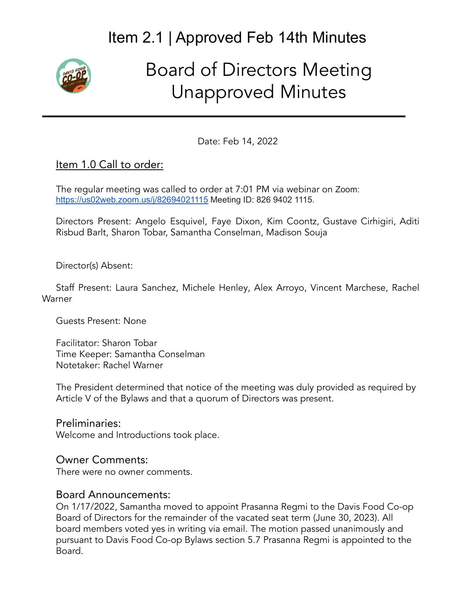

# Board of Directors Meeting Unapproved Minutes

Date: Feb 14, 2022

#### Item 1.0 Call to order:

The regular meeting was called to order at 7:01 PM via webinar on Zoom: <https://us02web.zoom.us/j/82694021115> Meeting ID: 826 9402 1115.

Directors Present: Angelo Esquivel, Faye Dixon, Kim Coontz, Gustave Cirhigiri, Aditi Risbud Barlt, Sharon Tobar, Samantha Conselman, Madison Souja

Director(s) Absent:

Staff Present: Laura Sanchez, Michele Henley, Alex Arroyo, Vincent Marchese, Rachel Warner

Guests Present: None

Facilitator: Sharon Tobar Time Keeper: Samantha Conselman Notetaker: Rachel Warner

The President determined that notice of the meeting was duly provided as required by Article V of the Bylaws and that a quorum of Directors was present.

Preliminaries: Welcome and Introductions took place.

#### Owner Comments:

There were no owner comments.

#### Board Announcements:

On 1/17/2022, Samantha moved to appoint Prasanna Regmi to the Davis Food Co-op Board of Directors for the remainder of the vacated seat term (June 30, 2023). All board members voted yes in writing via email. The motion passed unanimously and pursuant to Davis Food Co-op Bylaws section 5.7 Prasanna Regmi is appointed to the Board.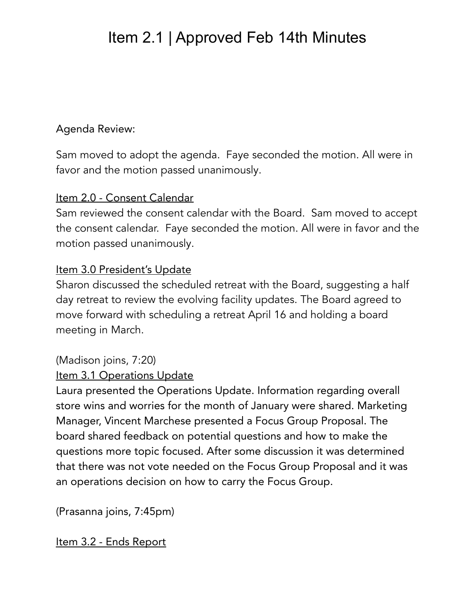### Agenda Review:

Sam moved to adopt the agenda. Faye seconded the motion. All were in favor and the motion passed unanimously.

#### Item 2.0 - Consent Calendar

Sam reviewed the consent calendar with the Board. Sam moved to accept the consent calendar. Faye seconded the motion. All were in favor and the motion passed unanimously.

#### Item 3.0 President's Update

Sharon discussed the scheduled retreat with the Board, suggesting a half day retreat to review the evolving facility updates. The Board agreed to move forward with scheduling a retreat April 16 and holding a board meeting in March.

### (Madison joins, 7:20)

#### Item 3.1 Operations Update

Laura presented the Operations Update. Information regarding overall store wins and worries for the month of January were shared. Marketing Manager, Vincent Marchese presented a Focus Group Proposal. The board shared feedback on potential questions and how to make the questions more topic focused. After some discussion it was determined that there was not vote needed on the Focus Group Proposal and it was an operations decision on how to carry the Focus Group.

(Prasanna joins, 7:45pm)

Item 3.2 - Ends Report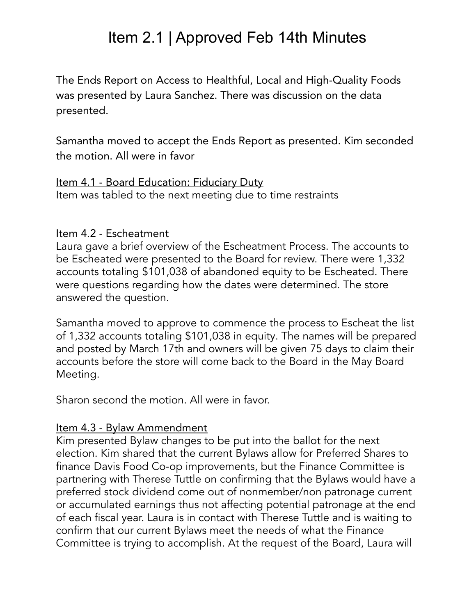The Ends Report on Access to Healthful, Local and High-Quality Foods was presented by Laura Sanchez. There was discussion on the data presented.

Samantha moved to accept the Ends Report as presented. Kim seconded the motion. All were in favor

Item 4.1 - Board Education: Fiduciary Duty Item was tabled to the next meeting due to time restraints

#### Item 4.2 - Escheatment

Laura gave a brief overview of the Escheatment Process. The accounts to be Escheated were presented to the Board for review. There were 1,332 accounts totaling \$101,038 of abandoned equity to be Escheated. There were questions regarding how the dates were determined. The store answered the question.

Samantha moved to approve to commence the process to Escheat the list of 1,332 accounts totaling \$101,038 in equity. The names will be prepared and posted by March 17th and owners will be given 75 days to claim their accounts before the store will come back to the Board in the May Board Meeting.

Sharon second the motion. All were in favor.

#### Item 4.3 - Bylaw Ammendment

Kim presented Bylaw changes to be put into the ballot for the next election. Kim shared that the current Bylaws allow for Preferred Shares to finance Davis Food Co-op improvements, but the Finance Committee is partnering with Therese Tuttle on confirming that the Bylaws would have a preferred stock dividend come out of nonmember/non patronage current or accumulated earnings thus not affecting potential patronage at the end of each fiscal year. Laura is in contact with Therese Tuttle and is waiting to confirm that our current Bylaws meet the needs of what the Finance Committee is trying to accomplish. At the request of the Board, Laura will